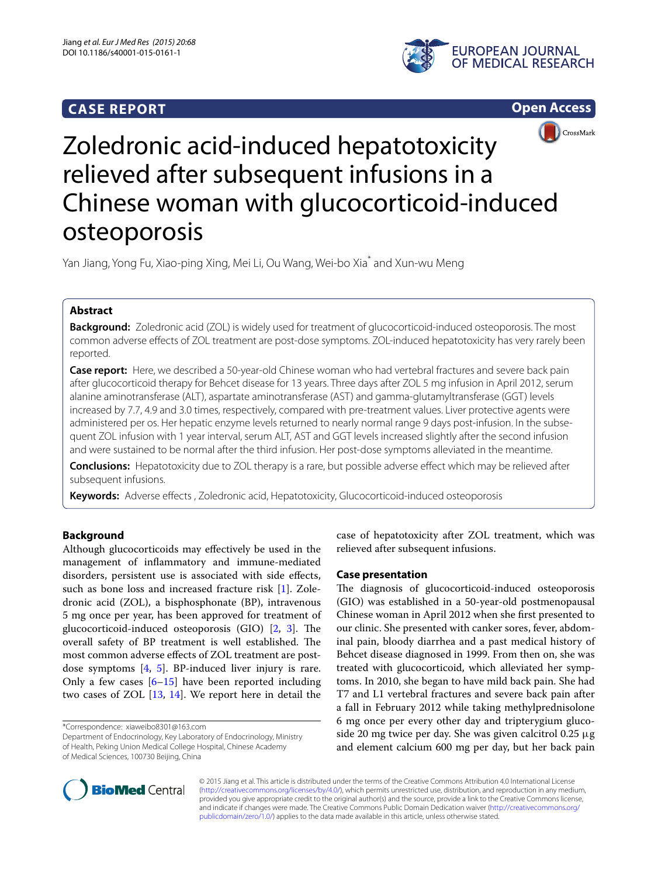# **CASE REPORT**







# Zoledronic acid-induced hepatotoxicity relieved after subsequent infusions in a Chinese woman with glucocorticoid-induced osteoporosis

Yan Jiang, Yong Fu, Xiao-ping Xing, Mei Li, Ou Wang, Wei-bo Xia $^*$  and Xun-wu Meng

## **Abstract**

**Background:** Zoledronic acid (ZOL) is widely used for treatment of glucocorticoid-induced osteoporosis. The most common adverse effects of ZOL treatment are post-dose symptoms. ZOL-induced hepatotoxicity has very rarely been reported.

**Case report:** Here, we described a 50-year-old Chinese woman who had vertebral fractures and severe back pain after glucocorticoid therapy for Behcet disease for 13 years. Three days after ZOL 5 mg infusion in April 2012, serum alanine aminotransferase (ALT), aspartate aminotransferase (AST) and gamma-glutamyltransferase (GGT) levels increased by 7.7, 4.9 and 3.0 times, respectively, compared with pre-treatment values. Liver protective agents were administered per os. Her hepatic enzyme levels returned to nearly normal range 9 days post-infusion. In the subsequent ZOL infusion with 1 year interval, serum ALT, AST and GGT levels increased slightly after the second infusion and were sustained to be normal after the third infusion. Her post-dose symptoms alleviated in the meantime.

**Conclusions:** Hepatotoxicity due to ZOL therapy is a rare, but possible adverse effect which may be relieved after subsequent infusions.

**Keywords:** Adverse effects , Zoledronic acid, Hepatotoxicity, Glucocorticoid-induced osteoporosis

## **Background**

Although glucocorticoids may effectively be used in the management of inflammatory and immune-mediated disorders, persistent use is associated with side effects, such as bone loss and increased fracture risk [\[1](#page-2-0)]. Zoledronic acid (ZOL), a bisphosphonate (BP), intravenous 5 mg once per year, has been approved for treatment of glucocorticoid-induced osteoporosis (GIO) [\[2](#page-2-1), [3\]](#page-2-2). The overall safety of BP treatment is well established. The most common adverse effects of ZOL treatment are postdose symptoms [\[4](#page-2-3), [5\]](#page-2-4). BP-induced liver injury is rare. Only a few cases  $[6-15]$  $[6-15]$  $[6-15]$  have been reported including two cases of ZOL [[13,](#page-2-7) [14](#page-2-8)]. We report here in detail the

\*Correspondence: xiaweibo8301@163.com

Department of Endocrinology, Key Laboratory of Endocrinology, Ministry of Health, Peking Union Medical College Hospital, Chinese Academy of Medical Sciences, 100730 Beijing, China

case of hepatotoxicity after ZOL treatment, which was relieved after subsequent infusions.

## **Case presentation**

The diagnosis of glucocorticoid-induced osteoporosis (GIO) was established in a 50-year-old postmenopausal Chinese woman in April 2012 when she first presented to our clinic. She presented with canker sores, fever, abdominal pain, bloody diarrhea and a past medical history of Behcet disease diagnosed in 1999. From then on, she was treated with glucocorticoid, which alleviated her symptoms. In 2010, she began to have mild back pain. She had T7 and L1 vertebral fractures and severe back pain after a fall in February 2012 while taking methylprednisolone 6 mg once per every other day and tripterygium glucoside 20 mg twice per day. She was given calcitrol 0.25 μg and element calcium 600 mg per day, but her back pain



© 2015 Jiang et al. This article is distributed under the terms of the Creative Commons Attribution 4.0 International License [\(http://creativecommons.org/licenses/by/4.0/\)](http://creativecommons.org/licenses/by/4.0/), which permits unrestricted use, distribution, and reproduction in any medium, provided you give appropriate credit to the original author(s) and the source, provide a link to the Creative Commons license, and indicate if changes were made. The Creative Commons Public Domain Dedication waiver ([http://creativecommons.org/](http://creativecommons.org/publicdomain/zero/1.0/) [publicdomain/zero/1.0/](http://creativecommons.org/publicdomain/zero/1.0/)) applies to the data made available in this article, unless otherwise stated.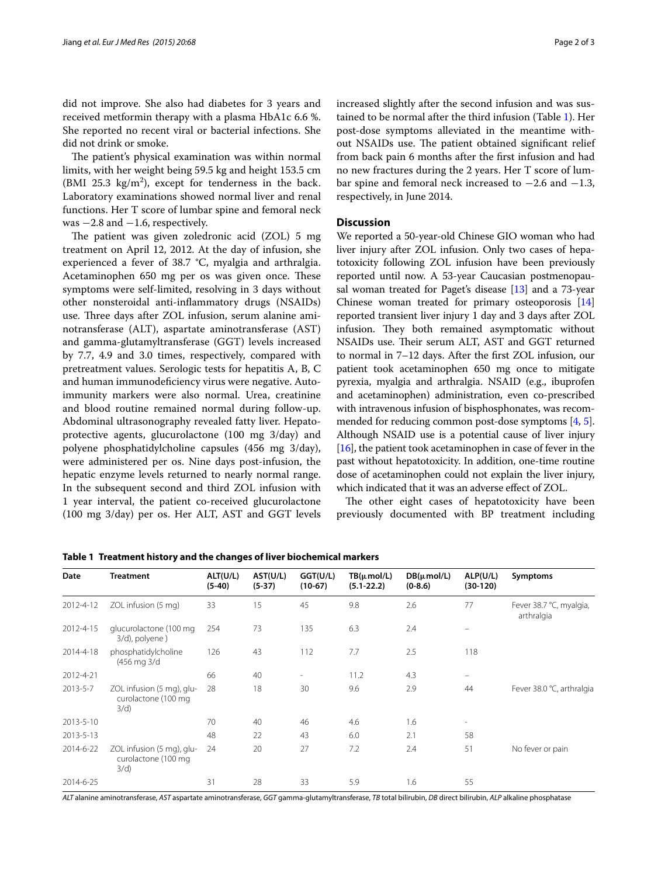did not improve. She also had diabetes for 3 years and received metformin therapy with a plasma HbA1c 6.6 %. She reported no recent viral or bacterial infections. She did not drink or smoke.

The patient's physical examination was within normal limits, with her weight being 59.5 kg and height 153.5 cm (BMI 25.3  $\text{kg/m}^2$ ), except for tenderness in the back. Laboratory examinations showed normal liver and renal functions. Her T score of lumbar spine and femoral neck was  $-2.8$  and  $-1.6$ , respectively.

The patient was given zoledronic acid (ZOL) 5 mg treatment on April 12, 2012. At the day of infusion, she experienced a fever of 38.7 °C, myalgia and arthralgia. Acetaminophen 650 mg per os was given once. These symptoms were self-limited, resolving in 3 days without other nonsteroidal anti-inflammatory drugs (NSAIDs) use. Three days after ZOL infusion, serum alanine aminotransferase (ALT), aspartate aminotransferase (AST) and gamma-glutamyltransferase (GGT) levels increased by 7.7, 4.9 and 3.0 times, respectively, compared with pretreatment values. Serologic tests for hepatitis A, B, C and human immunodeficiency virus were negative. Autoimmunity markers were also normal. Urea, creatinine and blood routine remained normal during follow-up. Abdominal ultrasonography revealed fatty liver. Hepatoprotective agents, glucurolactone (100 mg 3/day) and polyene phosphatidylcholine capsules (456 mg 3/day), were administered per os. Nine days post-infusion, the hepatic enzyme levels returned to nearly normal range. In the subsequent second and third ZOL infusion with 1 year interval, the patient co-received glucurolactone (100 mg 3/day) per os. Her ALT, AST and GGT levels increased slightly after the second infusion and was sustained to be normal after the third infusion (Table [1](#page-1-0)). Her post-dose symptoms alleviated in the meantime without NSAIDs use. The patient obtained significant relief from back pain 6 months after the first infusion and had no new fractures during the 2 years. Her T score of lumbar spine and femoral neck increased to  $-2.6$  and  $-1.3$ , respectively, in June 2014.

## **Discussion**

We reported a 50-year-old Chinese GIO woman who had liver injury after ZOL infusion. Only two cases of hepatotoxicity following ZOL infusion have been previously reported until now. A 53-year Caucasian postmenopausal woman treated for Paget's disease [\[13](#page-2-7)] and a 73-year Chinese woman treated for primary osteoporosis [[14](#page-2-8)] reported transient liver injury 1 day and 3 days after ZOL infusion. They both remained asymptomatic without NSAIDs use. Their serum ALT, AST and GGT returned to normal in 7–12 days. After the first ZOL infusion, our patient took acetaminophen 650 mg once to mitigate pyrexia, myalgia and arthralgia. NSAID (e.g., ibuprofen and acetaminophen) administration, even co-prescribed with intravenous infusion of bisphosphonates, was recommended for reducing common post-dose symptoms [\[4,](#page-2-3) [5](#page-2-4)]. Although NSAID use is a potential cause of liver injury [[16](#page-2-9)], the patient took acetaminophen in case of fever in the past without hepatotoxicity. In addition, one-time routine dose of acetaminophen could not explain the liver injury, which indicated that it was an adverse effect of ZOL.

The other eight cases of hepatotoxicity have been previously documented with BP treatment including

| Date      | <b>Treatment</b>                                         | ALT(U/L)<br>$(5-40)$ | AST(U/L)<br>$(5-37)$ | GGT(U/L)<br>$(10-67)$    | $TB(\mu mol/L)$<br>$(5.1 - 22.2)$ | $DB(\mu mol/L)$<br>$(0-8.6)$ | ALP(U/L)<br>$(30-120)$   | Symptoms                              |
|-----------|----------------------------------------------------------|----------------------|----------------------|--------------------------|-----------------------------------|------------------------------|--------------------------|---------------------------------------|
| 2012-4-12 | ZOL infusion (5 mg)                                      | 33                   | 15                   | 45                       | 9.8                               | 2.6                          | 77                       | Fever 38.7 °C, myalgia,<br>arthralgia |
| 2012-4-15 | glucurolactone (100 mg<br>3/d), polyene)                 | 254                  | 73                   | 135                      | 6.3                               | 2.4                          |                          |                                       |
| 2014-4-18 | phosphatidylcholine<br>(456 mg 3/d                       | 126                  | 43                   | 112                      | 7.7                               | 2.5                          | 118                      |                                       |
| 2012-4-21 |                                                          | 66                   | 40                   | $\overline{\phantom{a}}$ | 11.2                              | 4.3                          | $\equiv$                 |                                       |
| 2013-5-7  | ZOL infusion (5 mg), glu-<br>curolactone (100 mg<br>3/d) | 28                   | 18                   | 30                       | 9.6                               | 2.9                          | 44                       | Fever 38.0 °C, arthralgia             |
| 2013-5-10 |                                                          | 70                   | 40                   | 46                       | 4.6                               | 1.6                          | $\overline{\phantom{a}}$ |                                       |
| 2013-5-13 |                                                          | 48                   | 22                   | 43                       | 6.0                               | 2.1                          | 58                       |                                       |
| 2014-6-22 | ZOL infusion (5 mg), glu-<br>curolactone (100 mg<br>3/d) | 24                   | 20                   | 27                       | 7.2                               | 2.4                          | 51                       | No fever or pain                      |
| 2014-6-25 |                                                          | 31                   | 28                   | 33                       | 5.9                               | 1.6                          | 55                       |                                       |

<span id="page-1-0"></span>**Table 1 Treatment history and the changes of liver biochemical markers**

*ALT* alanine aminotransferase, *AST* aspartate aminotransferase, *GGT* gamma-glutamyltransferase, *TB* total bilirubin, *DB* direct bilirubin, *ALP* alkaline phosphatase